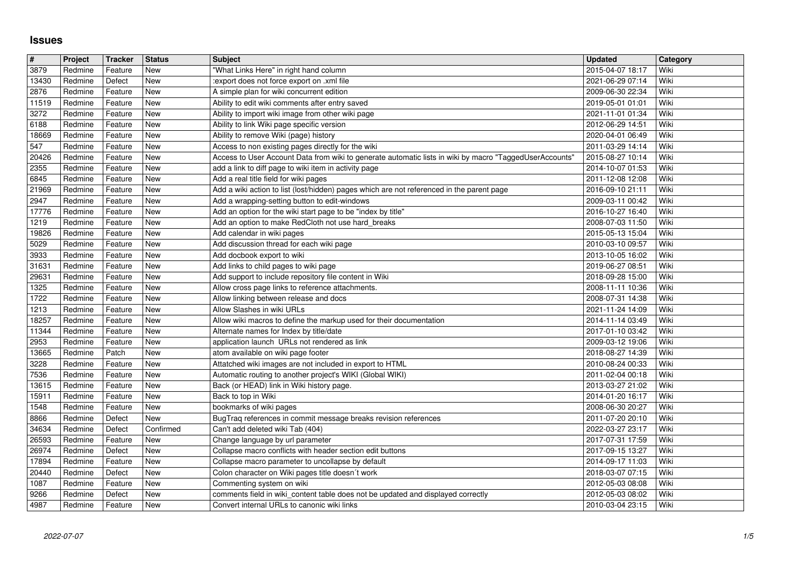## **Issues**

| #              | Project            | <b>Tracker</b>     | <b>Status</b>     | <b>Subject</b>                                                                                                                                                | <b>Updated</b>                       | Category     |
|----------------|--------------------|--------------------|-------------------|---------------------------------------------------------------------------------------------------------------------------------------------------------------|--------------------------------------|--------------|
| 3879           | Redmine            | Feature            | New               | "What Links Here" in right hand column                                                                                                                        | 2015-04-07 18:17                     | Wiki         |
| 13430<br>2876  | Redmine<br>Redmine | Defect<br>Feature  | New<br>New        | :export does not force export on .xml file<br>A simple plan for wiki concurrent edition                                                                       | 2021-06-29 07:14<br>2009-06-30 22:34 | Wiki<br>Wiki |
| 11519          | Redmine            | Feature            | <b>New</b>        | Ability to edit wiki comments after entry saved                                                                                                               | 2019-05-01 01:01                     | Wiki         |
| 3272           | Redmine            | Feature            | New               | Ability to import wiki image from other wiki page                                                                                                             | 2021-11-01 01:34                     | Wiki         |
| 6188           | Redmine            | Feature            | New               | Ability to link Wiki page specific version                                                                                                                    | 2012-06-29 14:51                     | Wiki         |
| 18669          | Redmine            | Feature            | New               | Ability to remove Wiki (page) history                                                                                                                         | 2020-04-01 06:49                     | Wiki         |
| 547<br>20426   | Redmine<br>Redmine | Feature<br>Feature | New<br>New        | Access to non existing pages directly for the wiki<br>Access to User Account Data from wiki to generate automatic lists in wiki by macro "TaggedUserAccounts' | 2011-03-29 14:14<br>2015-08-27 10:14 | Wiki<br>Wiki |
| 2355           | Redmine            | Feature            | New               | add a link to diff page to wiki item in activity page                                                                                                         | 2014-10-07 01:53                     | Wiki         |
| 6845           | Redmine            | Feature            | New               | Add a real title field for wiki pages                                                                                                                         | 2011-12-08 12:08                     | Wiki         |
| 21969          | Redmine            | Feature            | <b>New</b>        | Add a wiki action to list (lost/hidden) pages which are not referenced in the parent page                                                                     | 2016-09-10 21:11                     | Wiki         |
| 2947<br>17776  | Redmine<br>Redmine | Feature<br>Feature | New<br>New        | Add a wrapping-setting button to edit-windows<br>Add an option for the wiki start page to be "index by title"                                                 | 2009-03-11 00:42<br>2016-10-27 16:40 | Wiki<br>Wiki |
| 1219           | Redmine            | Feature            | New               | Add an option to make RedCloth not use hard_breaks                                                                                                            | 2008-07-03 11:50                     | Wiki         |
| 19826          | Redmine            | Feature            | New               | Add calendar in wiki pages                                                                                                                                    | 2015-05-13 15:04                     | Wiki         |
| 5029           | Redmine            | Feature            | <b>New</b>        | Add discussion thread for each wiki page                                                                                                                      | 2010-03-10 09:57                     | Wiki         |
| 3933           | Redmine            | Feature            | New               | Add docbook export to wiki                                                                                                                                    | 2013-10-05 16:02                     | Wiki         |
| 31631<br>29631 | Redmine<br>Redmine | Feature<br>Feature | New<br>New        | Add links to child pages to wiki page<br>Add support to include repository file content in Wiki                                                               | 2019-06-27 08:51<br>2018-09-28 15:00 | Wiki<br>Wiki |
| 1325           | Redmine            | Feature            | New               | Allow cross page links to reference attachments.                                                                                                              | 2008-11-11 10:36                     | Wiki         |
| 1722           | Redmine            | Feature            | New               | Allow linking between release and docs                                                                                                                        | 2008-07-31 14:38                     | Wiki         |
| 1213           | Redmine            | Feature            | New               | Allow Slashes in wiki URLs                                                                                                                                    | 2021-11-24 14:09                     | Wiki         |
| 18257<br>11344 | Redmine<br>Redmine | Feature<br>Feature | New<br>New        | Allow wiki macros to define the markup used for their documentation<br>Alternate names for Index by title/date                                                | 2014-11-14 03:49<br>2017-01-10 03:42 | Wiki<br>Wiki |
| 2953           | Redmine            | Feature            | <b>New</b>        | application launch URLs not rendered as link                                                                                                                  | 2009-03-12 19:06                     | Wiki         |
| 13665          | Redmine            | Patch              | New               | atom available on wiki page footer                                                                                                                            | 2018-08-27 14:39                     | Wiki         |
| 3228           | Redmine            | Feature            | New               | Attatched wiki images are not included in export to HTML                                                                                                      | 2010-08-24 00:33                     | Wiki         |
| 7536           | Redmine            | Feature            | New               | Automatic routing to another project's WIKI (Global WIKI)                                                                                                     | 2011-02-04 00:18                     | Wiki         |
| 13615<br>15911 | Redmine<br>Redmine | Feature<br>Feature | <b>New</b><br>New | Back (or HEAD) link in Wiki history page.<br>Back to top in Wiki                                                                                              | 2013-03-27 21:02<br>2014-01-20 16:17 | Wiki<br>Wiki |
| 1548           | Redmine            | Feature            | <b>New</b>        | bookmarks of wiki pages                                                                                                                                       | 2008-06-30 20:27                     | Wiki         |
| 8866           | Redmine            | Defect             | <b>New</b>        | BugTraq references in commit message breaks revision references                                                                                               | 2011-07-20 20:10                     | Wiki         |
| 34634          | Redmine            | Defect             | Confirmed         | Can't add deleted wiki Tab (404)                                                                                                                              | 2022-03-27 23:17                     | Wiki         |
| 26593          | Redmine            | Feature            | New               | Change language by url parameter                                                                                                                              | 2017-07-31 17:59                     | Wiki<br>Wiki |
| 26974<br>17894 | Redmine<br>Redmine | Defect<br>Feature  | New<br>New        | Collapse macro conflicts with header section edit buttons<br>Collapse macro parameter to uncollapse by default                                                | 2017-09-15 13:27<br>2014-09-17 11:03 | Wiki         |
| 20440          | Redmine            | Defect             | New               | Colon character on Wiki pages title doesn't work                                                                                                              | 2018-03-07 07:15                     | Wiki         |
| 1087           | Redmine            | Feature            | New               | Commenting system on wiki                                                                                                                                     | 2012-05-03 08:08                     | Wiki         |
| 9266<br>4987   | Redmine<br>Redmine | Defect<br>Feature  | New<br>New        | comments field in wiki_content table does not be updated and displayed correctly<br>Convert internal URLs to canonic wiki links                               | 2012-05-03 08:02<br>2010-03-04 23:15 | Wiki<br>Wiki |
|                |                    |                    |                   |                                                                                                                                                               |                                      |              |
|                |                    |                    |                   |                                                                                                                                                               |                                      |              |
|                |                    |                    |                   |                                                                                                                                                               |                                      |              |
|                |                    |                    |                   |                                                                                                                                                               |                                      |              |
|                |                    |                    |                   |                                                                                                                                                               |                                      |              |
|                |                    |                    |                   |                                                                                                                                                               |                                      |              |
|                |                    |                    |                   |                                                                                                                                                               |                                      |              |
|                |                    |                    |                   |                                                                                                                                                               |                                      |              |
|                |                    |                    |                   |                                                                                                                                                               |                                      |              |
|                |                    |                    |                   |                                                                                                                                                               |                                      |              |
|                |                    |                    |                   |                                                                                                                                                               |                                      |              |
|                |                    |                    |                   |                                                                                                                                                               |                                      |              |
|                |                    |                    |                   |                                                                                                                                                               |                                      |              |
|                |                    |                    |                   |                                                                                                                                                               |                                      |              |
|                |                    |                    |                   |                                                                                                                                                               |                                      |              |
|                |                    |                    |                   |                                                                                                                                                               |                                      |              |
|                |                    |                    |                   |                                                                                                                                                               |                                      |              |
|                |                    |                    |                   |                                                                                                                                                               |                                      |              |
|                |                    |                    |                   |                                                                                                                                                               |                                      |              |
|                |                    |                    |                   |                                                                                                                                                               |                                      |              |
|                |                    |                    |                   |                                                                                                                                                               |                                      |              |
|                |                    |                    |                   |                                                                                                                                                               |                                      |              |
|                |                    |                    |                   |                                                                                                                                                               |                                      |              |
|                |                    |                    |                   |                                                                                                                                                               |                                      |              |
|                |                    |                    |                   |                                                                                                                                                               |                                      |              |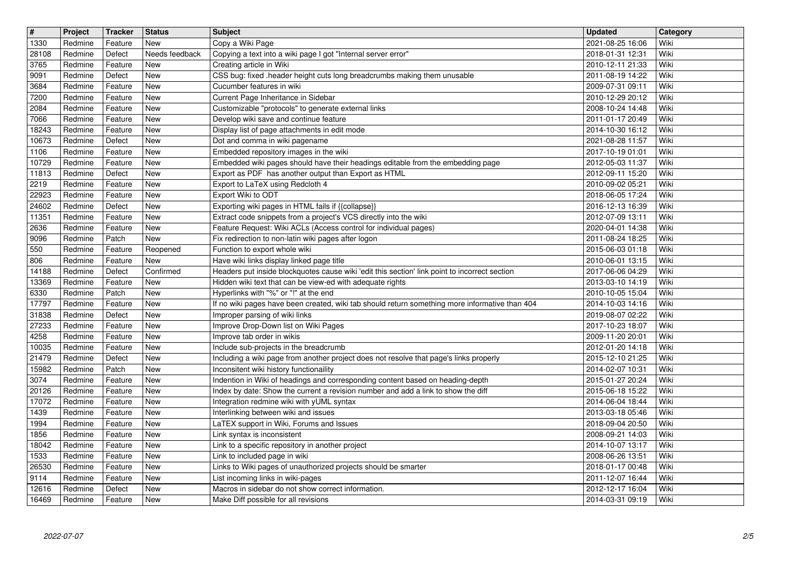| $\overline{\mathbf{t}}$ | Project            | Tracker            | <b>Status</b>            | <b>Subject</b>                                                                                                                                                      | <b>Updated</b>                       | Category     |
|-------------------------|--------------------|--------------------|--------------------------|---------------------------------------------------------------------------------------------------------------------------------------------------------------------|--------------------------------------|--------------|
| 1330<br>28108           | Redmine<br>Redmine | Feature<br>Defect  | New<br>Needs feedback    | Copy a Wiki Page<br>Copying a text into a wiki page I got "Internal server error"                                                                                   | 2021-08-25 16:06<br>2018-01-31 12:31 | Wiki<br>Wiki |
| 3765                    | Redmine            | Feature            | New                      | Creating article in Wiki                                                                                                                                            | 2010-12-11 21:33                     | Wiki         |
| 9091<br>3684            | Redmine<br>Redmine | Defect<br>Feature  | <b>New</b><br><b>New</b> | CSS bug: fixed .header height cuts long breadcrumbs making them unusable<br>Cucumber features in wiki                                                               | 2011-08-19 14:22<br>2009-07-31 09:11 | Wiki<br>Wiki |
| 7200                    | Redmine            | Feature            | <b>New</b>               | Current Page Inheritance in Sidebar                                                                                                                                 | 2010-12-29 20:12                     | Wiki         |
| 2084                    | Redmine            | Feature            | New                      | Customizable "protocols" to generate external links                                                                                                                 | 2008-10-24 14:48                     | Wiki         |
| 7066<br>18243           | Redmine<br>Redmine | Feature<br>Feature | New<br>New               | Develop wiki save and continue feature<br>Display list of page attachments in edit mode                                                                             | 2011-01-17 20:49<br>2014-10-30 16:12 | Wiki<br>Wiki |
| 10673                   | Redmine            | Defect             | New                      | Dot and comma in wiki pagename                                                                                                                                      | 2021-08-28 11:57                     | Wiki         |
| 1106                    | Redmine            | Feature            | <b>New</b>               | Embedded repository images in the wiki<br>Embedded wiki pages should have their headings editable from the embedding page                                           | 2017-10-19 01:01                     | Wiki<br>Wiki |
| 10729<br>11813          | Redmine<br>Redmine | Feature<br>Defect  | <b>New</b><br>New        | Export as PDF has another output than Export as HTML                                                                                                                | 2012-05-03 11:37<br>2012-09-11 15:20 | Wiki         |
| 2219                    | Redmine            | Feature            | <b>New</b>               | Export to LaTeX using Redcloth 4                                                                                                                                    | 2010-09-02 05:21                     | Wiki         |
| 22923<br>24602          | Redmine<br>Redmine | Feature<br>Defect  | <b>New</b><br><b>New</b> | Export Wiki to ODT<br>Exporting wiki pages in HTML fails if {{collapse}}                                                                                            | 2018-06-05 17:24<br>2016-12-13 16:39 | Wiki<br>Wiki |
| 11351                   | Redmine            | Feature            | New                      | Extract code snippets from a project's VCS directly into the wiki                                                                                                   | 2012-07-09 13:11                     | Wiki         |
| 2636                    | Redmine            | Feature            | New<br><b>New</b>        | Feature Request: Wiki ACLs (Access control for individual pages)                                                                                                    | 2020-04-01 14:38                     | Wiki<br>Wiki |
| 9096<br>550             | Redmine<br>Redmine | Patch<br>Feature   | Reopened                 | Fix redirection to non-latin wiki pages after logon<br>Function to export whole wiki                                                                                | 2011-08-24 18:25<br>2015-06-03 01:18 | Wiki         |
| 806                     | Redmine            | Feature            | New                      | Have wiki links display linked page title                                                                                                                           | 2010-06-01 13:15                     | Wiki         |
| 14188<br>13369          | Redmine<br>Redmine | Defect<br>Feature  | Confirmed<br><b>New</b>  | Headers put inside blockquotes cause wiki 'edit this section' link point to incorrect section<br>Hidden wiki text that can be view-ed with adequate rights          | 2017-06-06 04:29<br>2013-03-10 14:19 | Wiki<br>Wiki |
| 6330                    | Redmine            | Patch              | <b>New</b>               | Hyperlinks with "%" or "!" at the end                                                                                                                               | 2010-10-05 15:04                     | Wiki         |
| 17797<br>31838          | Redmine<br>Redmine | Feature<br>Defect  | New<br>New               | If no wiki pages have been created, wiki tab should return something more informative than 404<br>Improper parsing of wiki links                                    | 2014-10-03 14:16<br>2019-08-07 02:22 | Wiki<br>Wiki |
| 27233                   | Redmine            | Feature            | New                      | Improve Drop-Down list on Wiki Pages                                                                                                                                | 2017-10-23 18:07                     | Wiki         |
| 4258                    | Redmine            | Feature            | <b>New</b>               | Improve tab order in wikis                                                                                                                                          | 2009-11-20 20:01                     | Wiki         |
| 10035<br>21479          | Redmine<br>Redmine | Feature<br>Defect  | <b>New</b><br>New        | Include sub-projects in the breadcrumb<br>Including a wiki page from another project does not resolve that page's links properly                                    | 2012-01-20 14:18<br>2015-12-10 21:25 | Wiki<br>Wiki |
| 15982                   | Redmine            | Patch              | <b>New</b>               | Inconsitent wiki history functionaility                                                                                                                             | 2014-02-07 10:31                     | Wiki         |
| 3074<br>20126           | Redmine<br>Redmine | Feature<br>Feature | New<br>New               | Indention in Wiki of headings and corresponding content based on heading-depth<br>Index by date: Show the current a revision number and add a link to show the diff | 2015-01-27 20:24<br>2015-06-18 15:22 | Wiki<br>Wiki |
| 17072                   | Redmine            | Feature            | New                      | Integration redmine wiki with yUML syntax                                                                                                                           | 2014-06-04 18:44                     | Wiki         |
| 1439                    | Redmine            | Feature            | New                      | Interlinking between wiki and issues                                                                                                                                | 2013-03-18 05:46                     | Wiki         |
| 1994<br>1856            | Redmine<br>Redmine | Feature<br>Feature | New<br><b>New</b>        | LaTEX support in Wiki, Forums and Issues<br>Link syntax is inconsistent                                                                                             | 2018-09-04 20:50<br>2008-09-21 14:03 | Wiki<br>Wiki |
| 18042                   | Redmine            | Feature            | New                      | Link to a specific repository in another project                                                                                                                    | 2014-10-07 13:17                     | Wiki         |
| 1533<br>26530           | Redmine<br>Redmine | Feature<br>Feature | New<br>New               | Link to included page in wiki<br>Links to Wiki pages of unauthorized projects should be smarter                                                                     | 2008-06-26 13:51<br>2018-01-17 00:48 | Wiki<br>Wiki |
| 9114                    | Redmine            | Feature            | New                      | List incoming links in wiki-pages                                                                                                                                   | 2011-12-07 16:44                     | Wiki         |
| 12616<br>16469          | Redmine<br>Redmine | Defect<br>Feature  | New<br>New               | Macros in sidebar do not show correct information.<br>Make Diff possible for all revisions                                                                          | 2012-12-17 16:04<br>2014-03-31 09:19 | Wiki<br>Wiki |
|                         |                    |                    |                          |                                                                                                                                                                     |                                      |              |
|                         |                    |                    |                          |                                                                                                                                                                     |                                      |              |
|                         |                    |                    |                          |                                                                                                                                                                     |                                      |              |
|                         |                    |                    |                          |                                                                                                                                                                     |                                      |              |
|                         |                    |                    |                          |                                                                                                                                                                     |                                      |              |
|                         |                    |                    |                          |                                                                                                                                                                     |                                      |              |
|                         |                    |                    |                          |                                                                                                                                                                     |                                      |              |
|                         |                    |                    |                          |                                                                                                                                                                     |                                      |              |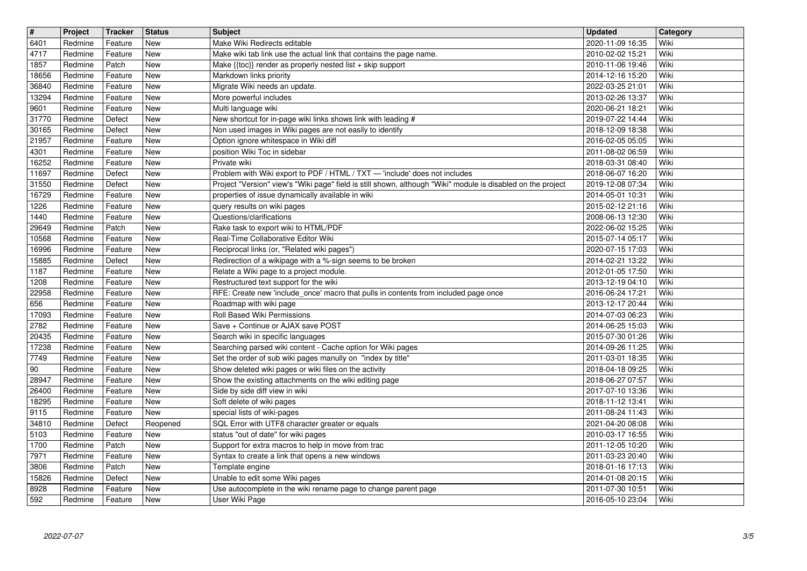| $\sqrt{\frac{4}{15}}$ | Project            | <b>Tracker</b>     | <b>Status</b>     | <b>Subject</b>                                                                                                            | <b>Updated</b>                       | <b>Category</b> |
|-----------------------|--------------------|--------------------|-------------------|---------------------------------------------------------------------------------------------------------------------------|--------------------------------------|-----------------|
| 6401<br>4717          | Redmine<br>Redmine | Feature<br>Feature | New<br><b>New</b> | Make Wiki Redirects editable<br>Make wiki tab link use the actual link that contains the page name.                       | 2020-11-09 16:35<br>2010-02-02 15:21 | Wiki<br>Wiki    |
| 1857                  | Redmine            | Patch              | <b>New</b>        | Make {{toc}} render as properly nested list + skip support                                                                | 2010-11-06 19:46                     | Wiki            |
| 18656                 | Redmine            | Feature            | New               | Markdown links priority                                                                                                   | 2014-12-16 15:20                     | Wiki            |
| 36840<br>13294        | Redmine<br>Redmine | Feature<br>Feature | New<br><b>New</b> | Migrate Wiki needs an update.<br>More powerful includes                                                                   | 2022-03-25 21:01<br>2013-02-26 13:37 | Wiki<br>Wiki    |
| 9601                  | Redmine            | Feature            | <b>New</b>        | Multi language wiki                                                                                                       | 2020-06-21 18:21                     | Wiki            |
| 31770<br>30165        | Redmine<br>Redmine | Defect<br>Defect   | New<br>New        | New shortcut for in-page wiki links shows link with leading #<br>Non used images in Wiki pages are not easily to identify | 2019-07-22 14:44<br>2018-12-09 18:38 | Wiki<br>Wiki    |
| 21957                 | Redmine            | Feature            | New               | Option ignore whitespace in Wiki diff                                                                                     | 2016-02-05 05:05                     | Wiki            |
| 4301                  | Redmine            | Feature            | New               | position Wiki Toc in sidebar                                                                                              | 2011-08-02 06:59                     | Wiki            |
| 16252<br>11697        | Redmine<br>Redmine | Feature<br>Defect  | New<br>New        | Private wiki<br>Problem with Wiki export to PDF / HTML / TXT - 'include' does not includes                                | 2018-03-31 08:40<br>2018-06-07 16:20 | Wiki<br>Wiki    |
| 31550                 | Redmine            | Defect             | New               | Project "Version" view's "Wiki page" field is still shown, although "Wiki" module is disabled on the project              | 2019-12-08 07:34                     | Wiki            |
| 16729<br>1226         | Redmine<br>Redmine | Feature<br>Feature | New<br>New        | properties of issue dynamically available in wiki<br>query results on wiki pages                                          | 2014-05-01 10:31<br>2015-02-12 21:16 | Wiki<br>Wiki    |
| 1440                  | Redmine            | Feature            | New               | Questions/clarifications                                                                                                  | 2008-06-13 12:30                     | Wiki            |
| 29649<br>10568        | Redmine<br>Redmine | Patch<br>Feature   | New<br>New        | Rake task to export wiki to HTML/PDF<br>Real-Time Collaborative Editor Wiki                                               | 2022-06-02 15:25<br>2015-07-14 05:17 | Wiki<br>Wiki    |
| 16996                 | Redmine            | Feature            | New               | Reciprocal links (or, "Related wiki pages")                                                                               | 2020-07-15 17:03                     | Wiki            |
| 15885                 | Redmine            | Defect             | New               | Redirection of a wikipage with a %-sign seems to be broken                                                                | 2014-02-21 13:22                     | Wiki            |
| 1187<br>1208          | Redmine<br>Redmine | Feature<br>Feature | New<br>New        | Relate a Wiki page to a project module.<br>Restructured text support for the wiki                                         | 2012-01-05 17:50<br>2013-12-19 04:10 | Wiki<br>Wiki    |
| 22958                 | Redmine            | Feature            | New               | RFE: Create new 'include_once' macro that pulls in contents from included page once                                       | 2016-06-24 17:21                     | Wiki            |
| 656<br>17093          | Redmine<br>Redmine | Feature<br>Feature | New<br>New        | Roadmap with wiki page<br>Roll Based Wiki Permissions                                                                     | 2013-12-17 20:44<br>2014-07-03 06:23 | Wiki<br>Wiki    |
| 2782                  | Redmine            | Feature            | New               | Save + Continue or AJAX save POST                                                                                         | 2014-06-25 15:03                     | Wiki            |
| 20435<br>17238        | Redmine<br>Redmine | Feature<br>Feature | New<br>New        | Search wiki in specific languages<br>Searching parsed wiki content - Cache option for Wiki pages                          | 2015-07-30 01:26<br>2014-09-26 11:25 | Wiki<br>Wiki    |
| 7749                  | Redmine            | Feature            | New               | Set the order of sub wiki pages manully on "index by title"                                                               | 2011-03-01 18:35                     | Wiki            |
| $90\,$                | Redmine            | Feature            | New               | Show deleted wiki pages or wiki files on the activity                                                                     | 2018-04-18 09:25                     | Wiki            |
| 28947<br>26400        | Redmine<br>Redmine | Feature<br>Feature | New<br>New        | Show the existing attachments on the wiki editing page<br>Side by side diff view in wiki                                  | 2018-06-27 07:57<br>2017-07-10 13:36 | Wiki<br>Wiki    |
| 18295                 | Redmine            | Feature            | New               | Soft delete of wiki pages                                                                                                 | 2018-11-12 13:41                     | Wiki            |
| 9115<br>34810         | Redmine<br>Redmine | Feature<br>Defect  | New<br>Reopened   | special lists of wiki-pages<br>SQL Error with UTF8 character greater or equals                                            | 2011-08-24 11:43<br>2021-04-20 08:08 | Wiki<br>Wiki    |
| 5103                  | Redmine            | Feature            | New               | status "out of date" for wiki pages                                                                                       | 2010-03-17 16:55                     | Wiki            |
| 1700                  | Redmine            | Patch              | New               | Support for extra macros to help in move from trac                                                                        | 2011-12-05 10:20                     | Wiki            |
| 7971<br>3806          | Redmine<br>Redmine | Feature<br>Patch   | New<br>New        | Syntax to create a link that opens a new windows<br>Template engine                                                       | 2011-03-23 20:40<br>2018-01-16 17:13 | Wiki<br>Wiki    |
| 15826                 | Redmine            | Defect             | New               | Unable to edit some Wiki pages                                                                                            | 2014-01-08 20:15                     | Wiki            |
| 8928<br>592           | Redmine<br>Redmine | Feature<br>Feature | New<br>New        | Use autocomplete in the wiki rename page to change parent page<br>User Wiki Page                                          | 2011-07-30 10:51<br>2016-05-10 23:04 | Wiki<br>Wiki    |
|                       |                    |                    |                   |                                                                                                                           |                                      |                 |
|                       |                    |                    |                   |                                                                                                                           |                                      |                 |
|                       |                    |                    |                   |                                                                                                                           |                                      |                 |
|                       |                    |                    |                   |                                                                                                                           |                                      |                 |
|                       |                    |                    |                   |                                                                                                                           |                                      |                 |
|                       |                    |                    |                   |                                                                                                                           |                                      |                 |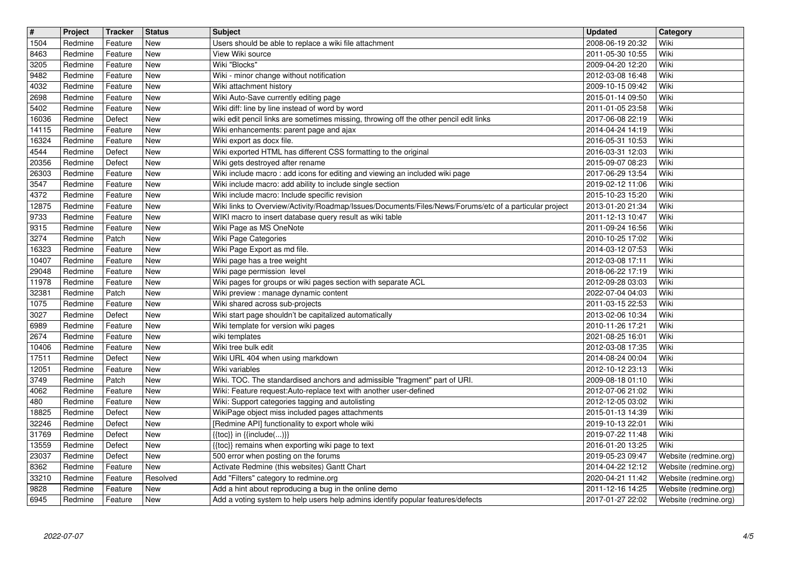| $\boxed{\texttt{#}}$ | Project            | <b>Tracker</b>     | <b>Status</b>     | <b>Subject</b>                                                                                              | Updated                              | Category              |
|----------------------|--------------------|--------------------|-------------------|-------------------------------------------------------------------------------------------------------------|--------------------------------------|-----------------------|
| 1504                 | Redmine            | Feature            | New               | Users should be able to replace a wiki file attachment                                                      | 2008-06-19 20:32                     | Wiki                  |
| 8463                 | Redmine            | Feature            | New               | View Wiki source                                                                                            | 2011-05-30 10:55                     | Wiki                  |
| 3205                 | Redmine            | Feature            | New               | Wiki "Blocks"                                                                                               | 2009-04-20 12:20                     | Wiki                  |
| 9482<br>4032         | Redmine<br>Redmine | Feature<br>Feature | New<br>New        | Wiki - minor change without notification<br>Wiki attachment history                                         | 2012-03-08 16:48<br>2009-10-15 09:42 | Wiki<br>Wiki          |
| 2698                 | Redmine            | Feature            | New               | Wiki Auto-Save currently editing page                                                                       | 2015-01-14 09:50                     | Wiki                  |
| 5402                 | Redmine            | Feature            | New               | Wiki diff: line by line instead of word by word                                                             | 2011-01-05 23:58                     | Wiki                  |
| 16036                | Redmine            | Defect             | New               | wiki edit pencil links are sometimes missing, throwing off the other pencil edit links                      | 2017-06-08 22:19                     | Wiki                  |
| 14115                | Redmine            | Feature            | New               | Wiki enhancements: parent page and ajax                                                                     | 2014-04-24 14:19                     | Wiki                  |
| 16324                | Redmine            | Feature            | New               | Wiki export as docx file.                                                                                   | 2016-05-31 10:53                     | Wiki                  |
| 4544                 | Redmine            | Defect             | New               | Wiki exported HTML has different CSS formatting to the original                                             | 2016-03-31 12:03                     | Wiki                  |
| 20356                | Redmine            | Defect             | New               | Wiki gets destroyed after rename                                                                            | 2015-09-07 08:23                     | Wiki                  |
| 26303                | Redmine            | Feature            | New               | Wiki include macro: add icons for editing and viewing an included wiki page                                 | 2017-06-29 13:54                     | Wiki                  |
| 3547<br>4372         | Redmine<br>Redmine | Feature<br>Feature | New<br>New        | Wiki include macro: add ability to include single section<br>Wiki include macro: Include specific revision  | 2019-02-12 11:06<br>2015-10-23 15:20 | Wiki<br>Wiki          |
| 12875                | Redmine            | Feature            | New               | Wiki links to Overview/Activity/Roadmap/Issues/Documents/Files/News/Forums/etc of a particular project      | 2013-01-20 21:34                     | Wiki                  |
| 9733                 | Redmine            | Feature            | New               | WIKI macro to insert database query result as wiki table                                                    | 2011-12-13 10:47                     | Wiki                  |
| 9315                 | Redmine            | Feature            | New               | Wiki Page as MS OneNote                                                                                     | 2011-09-24 16:56                     | Wiki                  |
| 3274                 | Redmine            | Patch              | New               | Wiki Page Categories                                                                                        | 2010-10-25 17:02                     | Wiki                  |
| 16323                | Redmine            | Feature            | New               | Wiki Page Export as md file.                                                                                | 2014-03-12 07:53                     | Wiki                  |
| 10407                | Redmine            | Feature            | New               | Wiki page has a tree weight                                                                                 | 2012-03-08 17:11                     | Wiki                  |
| 29048                | Redmine            | Feature            | New               | Wiki page permission level                                                                                  | 2018-06-22 17:19                     | Wiki                  |
| 11978                | Redmine            | Feature            | New               | Wiki pages for groups or wiki pages section with separate ACL<br>Wiki preview : manage dynamic content      | 2012-09-28 03:03                     | Wiki                  |
| 32381<br>1075        | Redmine<br>Redmine | Patch<br>Feature   | New<br>New        | Wiki shared across sub-projects                                                                             | 2022-07-04 04:03<br>2011-03-15 22:53 | Wiki<br>Wiki          |
| 3027                 | Redmine            | Defect             | New               | Wiki start page shouldn't be capitalized automatically                                                      | 2013-02-06 10:34                     | Wiki                  |
| 6989                 | Redmine            | Feature            | <b>New</b>        | Wiki template for version wiki pages                                                                        | 2010-11-26 17:21                     | Wiki                  |
| 2674                 | Redmine            | Feature            | New               | wiki templates                                                                                              | 2021-08-25 16:01                     | Wiki                  |
| 10406                | Redmine            | Feature            | New               | Wiki tree bulk edit                                                                                         | 2012-03-08 17:35                     | Wiki                  |
| 17511                | Redmine            | Defect             | New               | Wiki URL 404 when using markdown                                                                            | 2014-08-24 00:04                     | Wiki                  |
| 12051                | Redmine            | Feature            | New               | Wiki variables                                                                                              | 2012-10-12 23:13                     | Wiki                  |
| 3749                 | Redmine            | Patch              | New               | Wiki. TOC. The standardised anchors and admissible "fragment" part of URI.                                  | 2009-08-18 01:10                     | Wiki                  |
| 4062                 | Redmine            | Feature            | New               | Wiki: Feature request:Auto-replace text with another user-defined                                           | 2012-07-06 21:02                     | Wiki                  |
| 480                  | Redmine            | Feature            | New               | Wiki: Support categories tagging and autolisting                                                            | 2012-12-05 03:02                     | Wiki                  |
| 18825                | Redmine            | Defect             | New               | WikiPage object miss included pages attachments                                                             | 2015-01-13 14:39                     | Wiki                  |
| 32246<br>31769       | Redmine<br>Redmine | Defect<br>Defect   | <b>New</b><br>New | [Redmine API] functionality to export whole wiki<br>$\{\{\textsf{toc}\}\}\$ in $\{\{\textsf{include}()\}\}$ | 2019-10-13 22:01<br>2019-07-22 11:48 | Wiki<br>Wiki          |
| 13559                | Redmine            | Defect             | New               | {{toc}} remains when exporting wiki page to text                                                            | 2016-01-20 13:25                     | Wiki                  |
| 23037                | Redmine            | Defect             | New               | 500 error when posting on the forums                                                                        | 2019-05-23 09:47                     | Website (redmine.org) |
| 8362                 | Redmine            | Feature            | New               | Activate Redmine (this websites) Gantt Chart                                                                | 2014-04-22 12:12                     | Website (redmine.org) |
| 33210                | Redmine            | Feature            | Resolved          | Add "Filters" category to redmine.org                                                                       | 2020-04-21 11:42                     | Website (redmine.org) |
| 9828                 | Redmine            | Feature            | New               | Add a hint about reproducing a bug in the online demo                                                       | 2011-12-16 14:25                     | Website (redmine.org) |
|                      |                    |                    |                   |                                                                                                             |                                      |                       |
|                      |                    |                    |                   |                                                                                                             |                                      |                       |
|                      |                    |                    |                   |                                                                                                             |                                      |                       |
|                      |                    |                    |                   |                                                                                                             |                                      |                       |
|                      |                    |                    |                   |                                                                                                             |                                      |                       |
|                      |                    |                    |                   |                                                                                                             |                                      |                       |
|                      |                    |                    |                   |                                                                                                             |                                      |                       |
|                      |                    |                    |                   |                                                                                                             |                                      |                       |
|                      |                    |                    |                   |                                                                                                             |                                      |                       |
|                      |                    |                    |                   |                                                                                                             |                                      |                       |
|                      |                    |                    |                   |                                                                                                             |                                      |                       |
|                      |                    |                    |                   |                                                                                                             |                                      |                       |
|                      |                    |                    |                   |                                                                                                             |                                      |                       |
|                      |                    |                    |                   |                                                                                                             |                                      |                       |
|                      |                    |                    |                   |                                                                                                             |                                      |                       |
|                      |                    |                    |                   |                                                                                                             |                                      |                       |
|                      |                    |                    |                   |                                                                                                             |                                      |                       |
|                      |                    |                    |                   |                                                                                                             |                                      |                       |